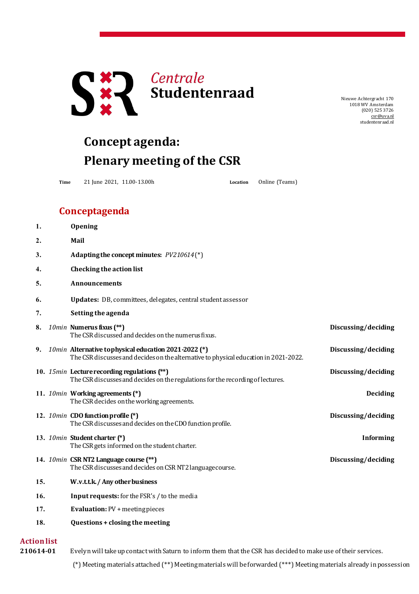

Nieuwe Achtergracht 170 1018 WV Amsterdam (020) 525 3726 [csr@uva.nl](mailto:csr@uva.nl) studentenraad.nl

## **Concept agenda: Plenary meeting of the CSR**

**Time** 21 June 2021, 11.00-13.00h **Location** Online (Teams)

## **Conceptagenda**

| 1.                 | Opening                                                                                                                                      |                     |
|--------------------|----------------------------------------------------------------------------------------------------------------------------------------------|---------------------|
| 2.                 | Mail                                                                                                                                         |                     |
| 3.                 | Adapting the concept minutes: $PV210614(*)$                                                                                                  |                     |
| 4.                 | Checking the action list                                                                                                                     |                     |
| 5.                 | <b>Announcements</b>                                                                                                                         |                     |
| 6.                 | Updates: DB, committees, delegates, central student assessor                                                                                 |                     |
| 7.                 | Setting the agenda                                                                                                                           |                     |
| 8.                 | 10min Numerus fixus (**)<br>The CSR discussed and decides on the numerus fixus.                                                              | Discussing/deciding |
| 9.                 | 10min Alternative tophysical education 2021-2022 (*)<br>The CSR discusses and decides on the alternative to physical education in 2021-2022. | Discussing/deciding |
|                    | 10. 15min Lecture recording regulations (**)<br>The CSR discusses and decides on the regulations for the recording of lectures.              | Discussing/deciding |
|                    | 11. 10min Working agreements (*)<br>The CSR decides on the working agreements.                                                               | <b>Deciding</b>     |
|                    | 12. 10min CDO function profile (*)<br>The CSR discusses and decides on the CDO function profile.                                             | Discussing/deciding |
|                    | 13. 10min Student charter (*)<br>The CSR gets informed on the student charter.                                                               | <b>Informing</b>    |
|                    | 14. 10min CSR NT2 Language course (**)<br>The CSR discusses and decides on CSR NT2 language course.                                          | Discussing/deciding |
| 15.                | W.v.t.t.k./ Any other business                                                                                                               |                     |
| 16.                | Input requests: for the FSR's / to the media                                                                                                 |                     |
| 17.                | <b>Evaluation: PV + meeting pieces</b>                                                                                                       |                     |
| 18.                | Questions + closing the meeting                                                                                                              |                     |
| <b>Action list</b> |                                                                                                                                              |                     |

210614-01 Evelyn will take up contact with Saturn to inform them that the CSR has decided to make use of their services.

(\*) Meeting materials attached (\*\*) Meetingmaterials will be forwarded (\*\*\*) Meetingmaterials already inpossession